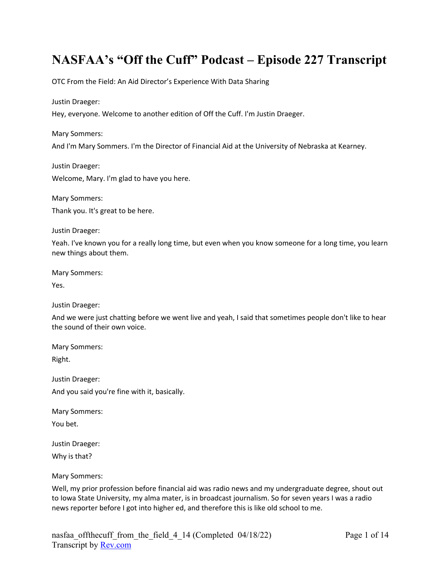# **NASFAA's "Off the Cuff" Podcast – Episode 227 Transcript**

OTC From the Field: An Aid Director's Experience With Data Sharing

Justin Draeger:

Hey, everyone. Welcome to another edition of Off the Cuff. I'm Justin Draeger.

Mary Sommers:

And I'm Mary Sommers. I'm the Director of Financial Aid at the University of Nebraska at Kearney.

Justin Draeger: Welcome, Mary. I'm glad to have you here.

Mary Sommers:

Thank you. It's great to be here.

Justin Draeger:

Yeah. I've known you for a really long time, but even when you know someone for a long time, you learn new things about them.

Mary Sommers:

Yes.

Justin Draeger:

And we were just chatting before we went live and yeah, I said that sometimes people don't like to hear the sound of their own voice.

Mary Sommers:

Right.

Justin Draeger: And you said you're fine with it, basically.

Mary Sommers: You bet.

Justin Draeger: Why is that?

Mary Sommers:

Well, my prior profession before financial aid was radio news and my undergraduate degree, shout out to Iowa State University, my alma mater, is in broadcast journalism. So for seven years I was a radio news reporter before I got into higher ed, and therefore this is like old school to me.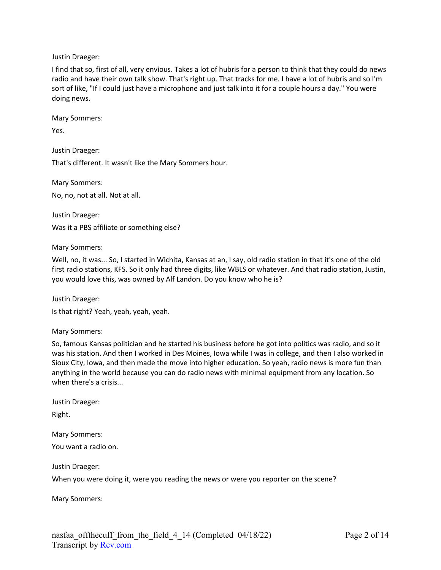Justin Draeger:

I find that so, first of all, very envious. Takes a lot of hubris for a person to think that they could do news radio and have their own talk show. That's right up. That tracks for me. I have a lot of hubris and so I'm sort of like, "If I could just have a microphone and just talk into it for a couple hours a day." You were doing news.

Mary Sommers:

Yes.

Justin Draeger:

That's different. It wasn't like the Mary Sommers hour.

Mary Sommers: No, no, not at all. Not at all.

Justin Draeger: Was it a PBS affiliate or something else?

Mary Sommers:

Well, no, it was... So, I started in Wichita, Kansas at an, I say, old radio station in that it's one of the old first radio stations, KFS. So it only had three digits, like WBLS or whatever. And that radio station, Justin, you would love this, was owned by Alf Landon. Do you know who he is?

Justin Draeger:

Is that right? Yeah, yeah, yeah, yeah.

Mary Sommers:

So, famous Kansas politician and he started his business before he got into politics was radio, and so it was his station. And then I worked in Des Moines, Iowa while I was in college, and then I also worked in Sioux City, Iowa, and then made the move into higher education. So yeah, radio news is more fun than anything in the world because you can do radio news with minimal equipment from any location. So when there's a crisis...

Justin Draeger:

Right.

Mary Sommers:

You want a radio on.

Justin Draeger:

When you were doing it, were you reading the news or were you reporter on the scene?

Mary Sommers: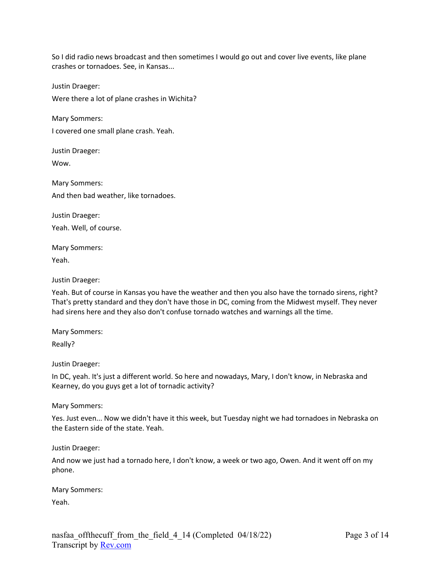So I did radio news broadcast and then sometimes I would go out and cover live events, like plane crashes or tornadoes. See, in Kansas...

Justin Draeger:

Were there a lot of plane crashes in Wichita?

Mary Sommers:

I covered one small plane crash. Yeah.

Justin Draeger:

Wow.

Mary Sommers: And then bad weather, like tornadoes.

Justin Draeger: Yeah. Well, of course.

Mary Sommers:

Yeah.

Justin Draeger:

Yeah. But of course in Kansas you have the weather and then you also have the tornado sirens, right? That's pretty standard and they don't have those in DC, coming from the Midwest myself. They never had sirens here and they also don't confuse tornado watches and warnings all the time.

Mary Sommers:

Really?

Justin Draeger:

In DC, yeah. It's just a different world. So here and nowadays, Mary, I don't know, in Nebraska and Kearney, do you guys get a lot of tornadic activity?

Mary Sommers:

Yes. Just even... Now we didn't have it this week, but Tuesday night we had tornadoes in Nebraska on the Eastern side of the state. Yeah.

Justin Draeger:

And now we just had a tornado here, I don't know, a week or two ago, Owen. And it went off on my phone.

Mary Sommers:

Yeah.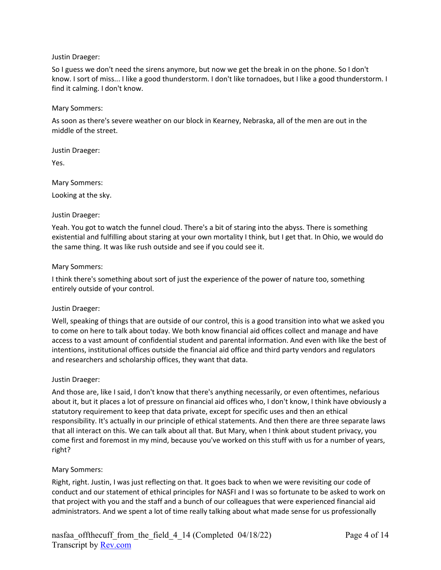#### Justin Draeger:

So I guess we don't need the sirens anymore, but now we get the break in on the phone. So I don't know. I sort of miss... I like a good thunderstorm. I don't like tornadoes, but I like a good thunderstorm. I find it calming. I don't know.

#### Mary Sommers:

As soon as there's severe weather on our block in Kearney, Nebraska, all of the men are out in the middle of the street.

Justin Draeger:

Yes.

Mary Sommers:

Looking at the sky.

## Justin Draeger:

Yeah. You got to watch the funnel cloud. There's a bit of staring into the abyss. There is something existential and fulfilling about staring at your own mortality I think, but I get that. In Ohio, we would do the same thing. It was like rush outside and see if you could see it.

#### Mary Sommers:

I think there's something about sort of just the experience of the power of nature too, something entirely outside of your control.

## Justin Draeger:

Well, speaking of things that are outside of our control, this is a good transition into what we asked you to come on here to talk about today. We both know financial aid offices collect and manage and have access to a vast amount of confidential student and parental information. And even with like the best of intentions, institutional offices outside the financial aid office and third party vendors and regulators and researchers and scholarship offices, they want that data.

## Justin Draeger:

And those are, like I said, I don't know that there's anything necessarily, or even oftentimes, nefarious about it, but it places a lot of pressure on financial aid offices who, I don't know, I think have obviously a statutory requirement to keep that data private, except for specific uses and then an ethical responsibility. It's actually in our principle of ethical statements. And then there are three separate laws that all interact on this. We can talk about all that. But Mary, when I think about student privacy, you come first and foremost in my mind, because you've worked on this stuff with us for a number of years, right?

## Mary Sommers:

Right, right. Justin, I was just reflecting on that. It goes back to when we were revisiting our code of conduct and our statement of ethical principles for NASFI and I was so fortunate to be asked to work on that project with you and the staff and a bunch of our colleagues that were experienced financial aid administrators. And we spent a lot of time really talking about what made sense for us professionally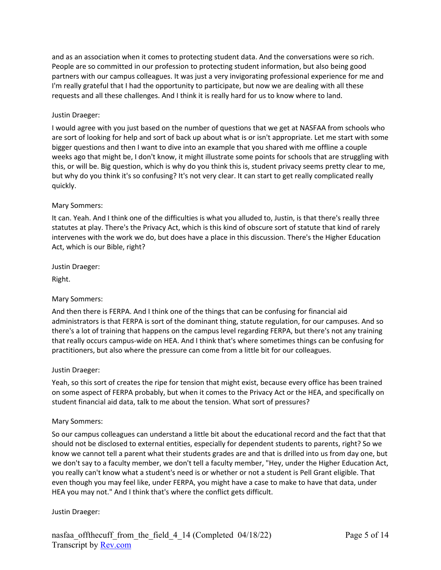and as an association when it comes to protecting student data. And the conversations were so rich. People are so committed in our profession to protecting student information, but also being good partners with our campus colleagues. It was just a very invigorating professional experience for me and I'm really grateful that I had the opportunity to participate, but now we are dealing with all these requests and all these challenges. And I think it is really hard for us to know where to land.

# Justin Draeger:

I would agree with you just based on the number of questions that we get at NASFAA from schools who are sort of looking for help and sort of back up about what is or isn't appropriate. Let me start with some bigger questions and then I want to dive into an example that you shared with me offline a couple weeks ago that might be, I don't know, it might illustrate some points for schools that are struggling with this, or will be. Big question, which is why do you think this is, student privacy seems pretty clear to me, but why do you think it's so confusing? It's not very clear. It can start to get really complicated really quickly.

## Mary Sommers:

It can. Yeah. And I think one of the difficulties is what you alluded to, Justin, is that there's really three statutes at play. There's the Privacy Act, which is this kind of obscure sort of statute that kind of rarely intervenes with the work we do, but does have a place in this discussion. There's the Higher Education Act, which is our Bible, right?

Justin Draeger:

Right.

# Mary Sommers:

And then there is FERPA. And I think one of the things that can be confusing for financial aid administrators is that FERPA is sort of the dominant thing, statute regulation, for our campuses. And so there's a lot of training that happens on the campus level regarding FERPA, but there's not any training that really occurs campus-wide on HEA. And I think that's where sometimes things can be confusing for practitioners, but also where the pressure can come from a little bit for our colleagues.

## Justin Draeger:

Yeah, so this sort of creates the ripe for tension that might exist, because every office has been trained on some aspect of FERPA probably, but when it comes to the Privacy Act or the HEA, and specifically on student financial aid data, talk to me about the tension. What sort of pressures?

## Mary Sommers:

So our campus colleagues can understand a little bit about the educational record and the fact that that should not be disclosed to external entities, especially for dependent students to parents, right? So we know we cannot tell a parent what their students grades are and that is drilled into us from day one, but we don't say to a faculty member, we don't tell a faculty member, "Hey, under the Higher Education Act, you really can't know what a student's need is or whether or not a student is Pell Grant eligible. That even though you may feel like, under FERPA, you might have a case to make to have that data, under HEA you may not." And I think that's where the conflict gets difficult.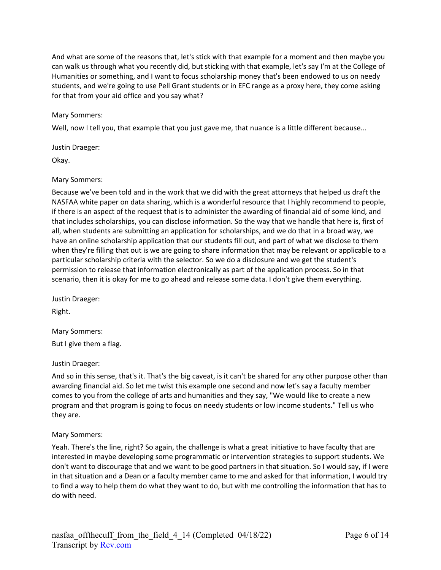And what are some of the reasons that, let's stick with that example for a moment and then maybe you can walk us through what you recently did, but sticking with that example, let's say I'm at the College of Humanities or something, and I want to focus scholarship money that's been endowed to us on needy students, and we're going to use Pell Grant students or in EFC range as a proxy here, they come asking for that from your aid office and you say what?

## Mary Sommers:

Well, now I tell you, that example that you just gave me, that nuance is a little different because...

Justin Draeger:

Okay.

## Mary Sommers:

Because we've been told and in the work that we did with the great attorneys that helped us draft the NASFAA white paper on data sharing, which is a wonderful resource that I highly recommend to people, if there is an aspect of the request that is to administer the awarding of financial aid of some kind, and that includes scholarships, you can disclose information. So the way that we handle that here is, first of all, when students are submitting an application for scholarships, and we do that in a broad way, we have an online scholarship application that our students fill out, and part of what we disclose to them when they're filling that out is we are going to share information that may be relevant or applicable to a particular scholarship criteria with the selector. So we do a disclosure and we get the student's permission to release that information electronically as part of the application process. So in that scenario, then it is okay for me to go ahead and release some data. I don't give them everything.

Justin Draeger:

Right.

Mary Sommers: But I give them a flag.

Justin Draeger:

And so in this sense, that's it. That's the big caveat, is it can't be shared for any other purpose other than awarding financial aid. So let me twist this example one second and now let's say a faculty member comes to you from the college of arts and humanities and they say, "We would like to create a new program and that program is going to focus on needy students or low income students." Tell us who they are.

## Mary Sommers:

Yeah. There's the line, right? So again, the challenge is what a great initiative to have faculty that are interested in maybe developing some programmatic or intervention strategies to support students. We don't want to discourage that and we want to be good partners in that situation. So I would say, if I were in that situation and a Dean or a faculty member came to me and asked for that information, I would try to find a way to help them do what they want to do, but with me controlling the information that has to do with need.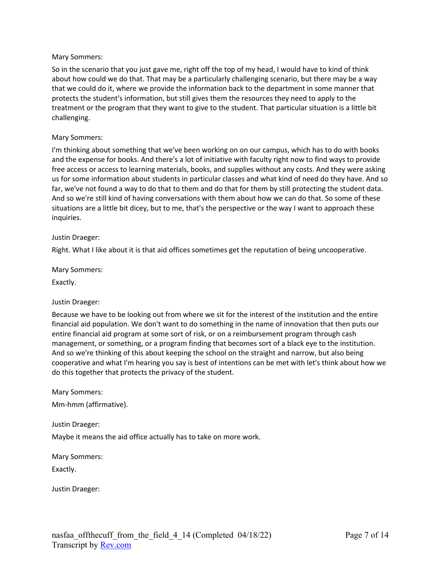## Mary Sommers:

So in the scenario that you just gave me, right off the top of my head, I would have to kind of think about how could we do that. That may be a particularly challenging scenario, but there may be a way that we could do it, where we provide the information back to the department in some manner that protects the student's information, but still gives them the resources they need to apply to the treatment or the program that they want to give to the student. That particular situation is a little bit challenging.

#### Mary Sommers:

I'm thinking about something that we've been working on on our campus, which has to do with books and the expense for books. And there's a lot of initiative with faculty right now to find ways to provide free access or access to learning materials, books, and supplies without any costs. And they were asking us for some information about students in particular classes and what kind of need do they have. And so far, we've not found a way to do that to them and do that for them by still protecting the student data. And so we're still kind of having conversations with them about how we can do that. So some of these situations are a little bit dicey, but to me, that's the perspective or the way I want to approach these inquiries.

#### Justin Draeger:

Right. What I like about it is that aid offices sometimes get the reputation of being uncooperative.

Mary Sommers:

Exactly.

## Justin Draeger:

Because we have to be looking out from where we sit for the interest of the institution and the entire financial aid population. We don't want to do something in the name of innovation that then puts our entire financial aid program at some sort of risk, or on a reimbursement program through cash management, or something, or a program finding that becomes sort of a black eye to the institution. And so we're thinking of this about keeping the school on the straight and narrow, but also being cooperative and what I'm hearing you say is best of intentions can be met with let's think about how we do this together that protects the privacy of the student.

Mary Sommers:

Mm-hmm (affirmative).

Justin Draeger:

Maybe it means the aid office actually has to take on more work.

Mary Sommers:

Exactly.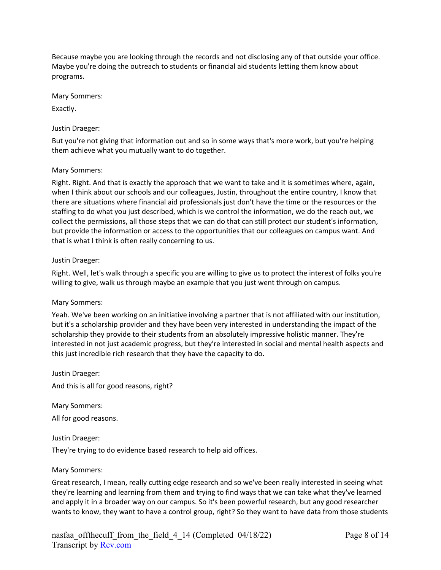Because maybe you are looking through the records and not disclosing any of that outside your office. Maybe you're doing the outreach to students or financial aid students letting them know about programs.

Mary Sommers:

Exactly.

# Justin Draeger:

But you're not giving that information out and so in some ways that's more work, but you're helping them achieve what you mutually want to do together.

# Mary Sommers:

Right. Right. And that is exactly the approach that we want to take and it is sometimes where, again, when I think about our schools and our colleagues, Justin, throughout the entire country, I know that there are situations where financial aid professionals just don't have the time or the resources or the staffing to do what you just described, which is we control the information, we do the reach out, we collect the permissions, all those steps that we can do that can still protect our student's information, but provide the information or access to the opportunities that our colleagues on campus want. And that is what I think is often really concerning to us.

## Justin Draeger:

Right. Well, let's walk through a specific you are willing to give us to protect the interest of folks you're willing to give, walk us through maybe an example that you just went through on campus.

## Mary Sommers:

Yeah. We've been working on an initiative involving a partner that is not affiliated with our institution, but it's a scholarship provider and they have been very interested in understanding the impact of the scholarship they provide to their students from an absolutely impressive holistic manner. They're interested in not just academic progress, but they're interested in social and mental health aspects and this just incredible rich research that they have the capacity to do.

Justin Draeger:

And this is all for good reasons, right?

Mary Sommers:

All for good reasons.

## Justin Draeger:

They're trying to do evidence based research to help aid offices.

## Mary Sommers:

Great research, I mean, really cutting edge research and so we've been really interested in seeing what they're learning and learning from them and trying to find ways that we can take what they've learned and apply it in a broader way on our campus. So it's been powerful research, but any good researcher wants to know, they want to have a control group, right? So they want to have data from those students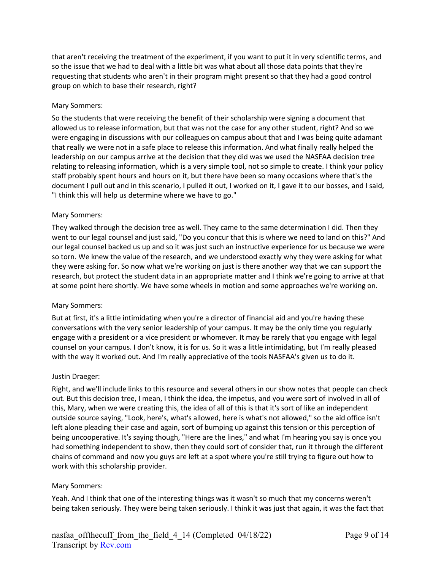that aren't receiving the treatment of the experiment, if you want to put it in very scientific terms, and so the issue that we had to deal with a little bit was what about all those data points that they're requesting that students who aren't in their program might present so that they had a good control group on which to base their research, right?

## Mary Sommers:

So the students that were receiving the benefit of their scholarship were signing a document that allowed us to release information, but that was not the case for any other student, right? And so we were engaging in discussions with our colleagues on campus about that and I was being quite adamant that really we were not in a safe place to release this information. And what finally really helped the leadership on our campus arrive at the decision that they did was we used the NASFAA decision tree relating to releasing information, which is a very simple tool, not so simple to create. I think your policy staff probably spent hours and hours on it, but there have been so many occasions where that's the document I pull out and in this scenario, I pulled it out, I worked on it, I gave it to our bosses, and I said, "I think this will help us determine where we have to go."

#### Mary Sommers:

They walked through the decision tree as well. They came to the same determination I did. Then they went to our legal counsel and just said, "Do you concur that this is where we need to land on this?" And our legal counsel backed us up and so it was just such an instructive experience for us because we were so torn. We knew the value of the research, and we understood exactly why they were asking for what they were asking for. So now what we're working on just is there another way that we can support the research, but protect the student data in an appropriate matter and I think we're going to arrive at that at some point here shortly. We have some wheels in motion and some approaches we're working on.

#### Mary Sommers:

But at first, it's a little intimidating when you're a director of financial aid and you're having these conversations with the very senior leadership of your campus. It may be the only time you regularly engage with a president or a vice president or whomever. It may be rarely that you engage with legal counsel on your campus. I don't know, it is for us. So it was a little intimidating, but I'm really pleased with the way it worked out. And I'm really appreciative of the tools NASFAA's given us to do it.

#### Justin Draeger:

Right, and we'll include links to this resource and several others in our show notes that people can check out. But this decision tree, I mean, I think the idea, the impetus, and you were sort of involved in all of this, Mary, when we were creating this, the idea of all of this is that it's sort of like an independent outside source saying, "Look, here's, what's allowed, here is what's not allowed," so the aid office isn't left alone pleading their case and again, sort of bumping up against this tension or this perception of being uncooperative. It's saying though, "Here are the lines," and what I'm hearing you say is once you had something independent to show, then they could sort of consider that, run it through the different chains of command and now you guys are left at a spot where you're still trying to figure out how to work with this scholarship provider.

#### Mary Sommers:

Yeah. And I think that one of the interesting things was it wasn't so much that my concerns weren't being taken seriously. They were being taken seriously. I think it was just that again, it was the fact that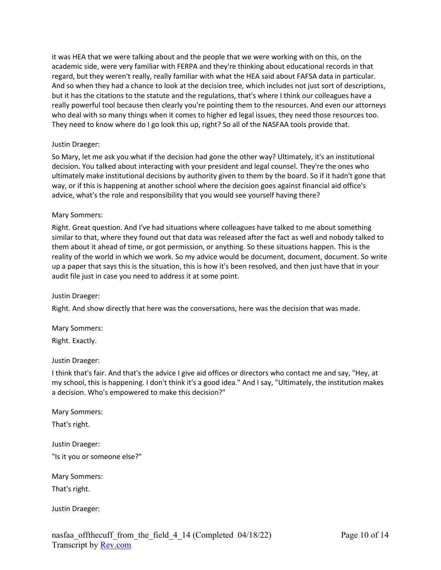it was HEA that we were talking about and the people that we were working with on this, on the academic side, were very familiar with FERPA and they're thinking about educational records in that regard, but they weren't really, really familiar with what the HEA said about FAFSA data in particular. And so when they had a chance to look at the decision tree, which includes not just sort of descriptions, but it has the citations to the statute and the regulations, that's where I think our colleagues have a really powerful tool because then clearly you're pointing them to the resources. And even our attorneys who deal with so many things when it comes to higher ed legal issues, they need those resources too. They need to know where do I go look this up, right? So all of the NASFAA tools provide that.

# Justin Draeger:

So Mary, let me ask you what if the decision had gone the other way? Ultimately, it's an institutional decision. You talked about interacting with your president and legal counsel. They're the ones who ultimately make institutional decisions by authority given to them by the board. So if it hadn't gone that way, or if this is happening at another school where the decision goes against financial aid office's advice, what's the role and responsibility that you would see yourself having there?

## Mary Sommers:

Right. Great question. And I've had situations where colleagues have talked to me about something similar to that, where they found out that data was released after the fact as well and nobody talked to them about it ahead of time, or got permission, or anything. So these situations happen. This is the reality of the world in which we work. So my advice would be document, document, document. So write up a paper that says this is the situation, this is how it's been resolved, and then just have that in your audit file just in case you need to address it at some point.

## Justin Draeger:

Right. And show directly that here was the conversations, here was the decision that was made.

Mary Sommers:

Right. Exactly.

## Justin Draeger:

I think that's fair. And that's the advice I give aid offices or directors who contact me and say, "Hey, at my school, this is happening. I don't think it's a good idea." And I say, "Ultimately, the institution makes a decision. Who's empowered to make this decision?"

Mary Sommers:

That's right.

Justin Draeger: "Is it you or someone else?"

Mary Sommers:

That's right.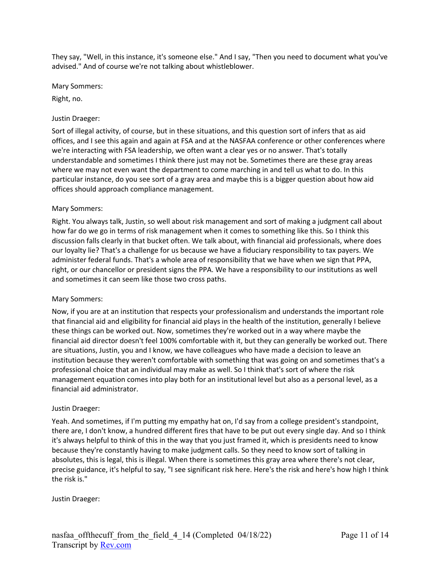They say, "Well, in this instance, it's someone else." And I say, "Then you need to document what you've advised." And of course we're not talking about whistleblower.

Mary Sommers:

Right, no.

# Justin Draeger:

Sort of illegal activity, of course, but in these situations, and this question sort of infers that as aid offices, and I see this again and again at FSA and at the NASFAA conference or other conferences where we're interacting with FSA leadership, we often want a clear yes or no answer. That's totally understandable and sometimes I think there just may not be. Sometimes there are these gray areas where we may not even want the department to come marching in and tell us what to do. In this particular instance, do you see sort of a gray area and maybe this is a bigger question about how aid offices should approach compliance management.

## Mary Sommers:

Right. You always talk, Justin, so well about risk management and sort of making a judgment call about how far do we go in terms of risk management when it comes to something like this. So I think this discussion falls clearly in that bucket often. We talk about, with financial aid professionals, where does our loyalty lie? That's a challenge for us because we have a fiduciary responsibility to tax payers. We administer federal funds. That's a whole area of responsibility that we have when we sign that PPA, right, or our chancellor or president signs the PPA. We have a responsibility to our institutions as well and sometimes it can seem like those two cross paths.

## Mary Sommers:

Now, if you are at an institution that respects your professionalism and understands the important role that financial aid and eligibility for financial aid plays in the health of the institution, generally I believe these things can be worked out. Now, sometimes they're worked out in a way where maybe the financial aid director doesn't feel 100% comfortable with it, but they can generally be worked out. There are situations, Justin, you and I know, we have colleagues who have made a decision to leave an institution because they weren't comfortable with something that was going on and sometimes that's a professional choice that an individual may make as well. So I think that's sort of where the risk management equation comes into play both for an institutional level but also as a personal level, as a financial aid administrator.

## Justin Draeger:

Yeah. And sometimes, if I'm putting my empathy hat on, I'd say from a college president's standpoint, there are, I don't know, a hundred different fires that have to be put out every single day. And so I think it's always helpful to think of this in the way that you just framed it, which is presidents need to know because they're constantly having to make judgment calls. So they need to know sort of talking in absolutes, this is legal, this is illegal. When there is sometimes this gray area where there's not clear, precise guidance, it's helpful to say, "I see significant risk here. Here's the risk and here's how high I think the risk is."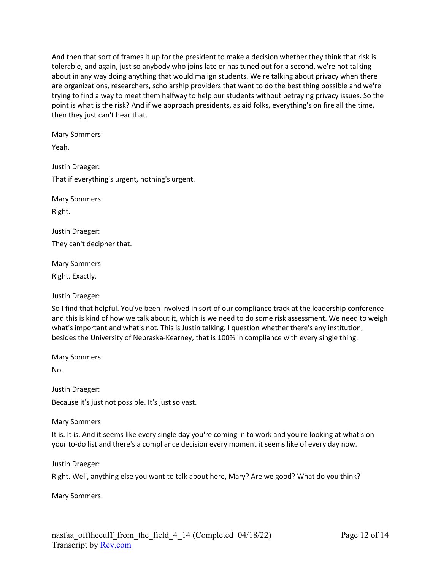And then that sort of frames it up for the president to make a decision whether they think that risk is tolerable, and again, just so anybody who joins late or has tuned out for a second, we're not talking about in any way doing anything that would malign students. We're talking about privacy when there are organizations, researchers, scholarship providers that want to do the best thing possible and we're trying to find a way to meet them halfway to help our students without betraying privacy issues. So the point is what is the risk? And if we approach presidents, as aid folks, everything's on fire all the time, then they just can't hear that.

Mary Sommers:

Yeah.

Justin Draeger: That if everything's urgent, nothing's urgent.

Mary Sommers:

Right.

Justin Draeger:

They can't decipher that.

Mary Sommers:

Right. Exactly.

Justin Draeger:

So I find that helpful. You've been involved in sort of our compliance track at the leadership conference and this is kind of how we talk about it, which is we need to do some risk assessment. We need to weigh what's important and what's not. This is Justin talking. I question whether there's any institution, besides the University of Nebraska-Kearney, that is 100% in compliance with every single thing.

Mary Sommers:

No.

Justin Draeger:

Because it's just not possible. It's just so vast.

Mary Sommers:

It is. It is. And it seems like every single day you're coming in to work and you're looking at what's on your to-do list and there's a compliance decision every moment it seems like of every day now.

Justin Draeger:

Right. Well, anything else you want to talk about here, Mary? Are we good? What do you think?

Mary Sommers: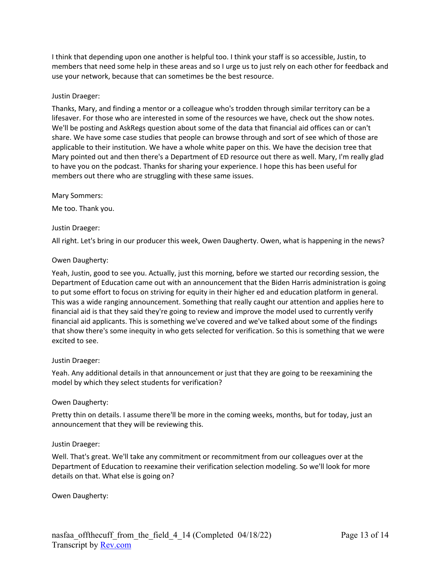I think that depending upon one another is helpful too. I think your staff is so accessible, Justin, to members that need some help in these areas and so I urge us to just rely on each other for feedback and use your network, because that can sometimes be the best resource.

## Justin Draeger:

Thanks, Mary, and finding a mentor or a colleague who's trodden through similar territory can be a lifesaver. For those who are interested in some of the resources we have, check out the show notes. We'll be posting and AskRegs question about some of the data that financial aid offices can or can't share. We have some case studies that people can browse through and sort of see which of those are applicable to their institution. We have a whole white paper on this. We have the decision tree that Mary pointed out and then there's a Department of ED resource out there as well. Mary, I'm really glad to have you on the podcast. Thanks for sharing your experience. I hope this has been useful for members out there who are struggling with these same issues.

Mary Sommers:

Me too. Thank you.

## Justin Draeger:

All right. Let's bring in our producer this week, Owen Daugherty. Owen, what is happening in the news?

#### Owen Daugherty:

Yeah, Justin, good to see you. Actually, just this morning, before we started our recording session, the Department of Education came out with an announcement that the Biden Harris administration is going to put some effort to focus on striving for equity in their higher ed and education platform in general. This was a wide ranging announcement. Something that really caught our attention and applies here to financial aid is that they said they're going to review and improve the model used to currently verify financial aid applicants. This is something we've covered and we've talked about some of the findings that show there's some inequity in who gets selected for verification. So this is something that we were excited to see.

## Justin Draeger:

Yeah. Any additional details in that announcement or just that they are going to be reexamining the model by which they select students for verification?

## Owen Daugherty:

Pretty thin on details. I assume there'll be more in the coming weeks, months, but for today, just an announcement that they will be reviewing this.

## Justin Draeger:

Well. That's great. We'll take any commitment or recommitment from our colleagues over at the Department of Education to reexamine their verification selection modeling. So we'll look for more details on that. What else is going on?

Owen Daugherty: